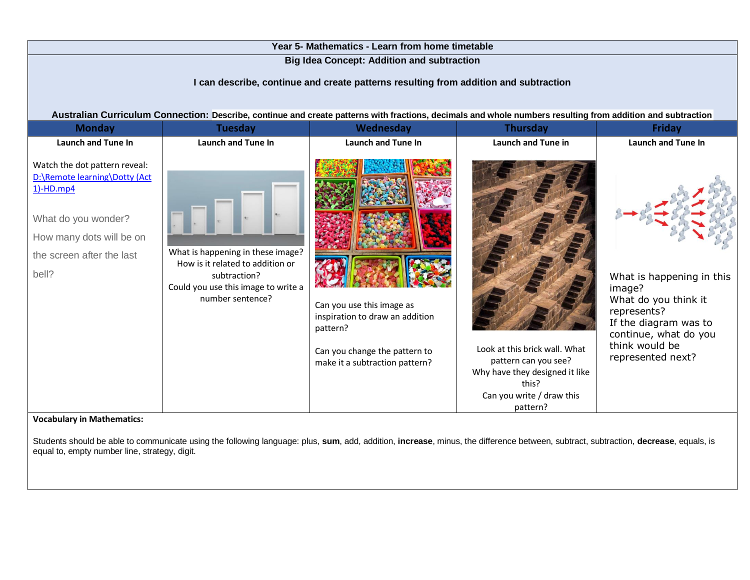| Year 5- Mathematics - Learn from home timetable                                                                                                                                                                                                                                                          |                                                                                                                                                  |                                                                                                                                             |                                                                                                                                           |                                                                                                                                                                     |  |
|----------------------------------------------------------------------------------------------------------------------------------------------------------------------------------------------------------------------------------------------------------------------------------------------------------|--------------------------------------------------------------------------------------------------------------------------------------------------|---------------------------------------------------------------------------------------------------------------------------------------------|-------------------------------------------------------------------------------------------------------------------------------------------|---------------------------------------------------------------------------------------------------------------------------------------------------------------------|--|
| <b>Big Idea Concept: Addition and subtraction</b><br>I can describe, continue and create patterns resulting from addition and subtraction<br>Australian Curriculum Connection: Describe, continue and create patterns with fractions, decimals and whole numbers resulting from addition and subtraction |                                                                                                                                                  |                                                                                                                                             |                                                                                                                                           |                                                                                                                                                                     |  |
| <b>Monday</b>                                                                                                                                                                                                                                                                                            | <b>Tuesday</b>                                                                                                                                   | Wednesday                                                                                                                                   | <b>Thursday</b>                                                                                                                           | <b>Friday</b>                                                                                                                                                       |  |
| <b>Launch and Tune In</b>                                                                                                                                                                                                                                                                                | <b>Launch and Tune In</b>                                                                                                                        | <b>Launch and Tune In</b>                                                                                                                   | <b>Launch and Tune in</b>                                                                                                                 | <b>Launch and Tune In</b>                                                                                                                                           |  |
| Watch the dot pattern reveal:<br>D:\Remote learning\Dotty (Act<br>$1$ -HD.mp4<br>What do you wonder?<br>How many dots will be on<br>the screen after the last<br>bell?                                                                                                                                   | What is happening in these image?<br>How is it related to addition or<br>subtraction?<br>Could you use this image to write a<br>number sentence? | Can you use this image as<br>inspiration to draw an addition<br>pattern?<br>Can you change the pattern to<br>make it a subtraction pattern? | Look at this brick wall. What<br>pattern can you see?<br>Why have they designed it like<br>this?<br>Can you write / draw this<br>pattern? | What is happening in this<br>image?<br>What do you think it<br>represents?<br>If the diagram was to<br>continue, what do you<br>think would be<br>represented next? |  |

**Vocabulary in Mathematics:**

Students should be able to communicate using the following language: plus, **sum**, add, addition, **increase**, minus, the difference between, subtract, subtraction, **decrease**, equals, is equal to, empty number line, strategy, digit.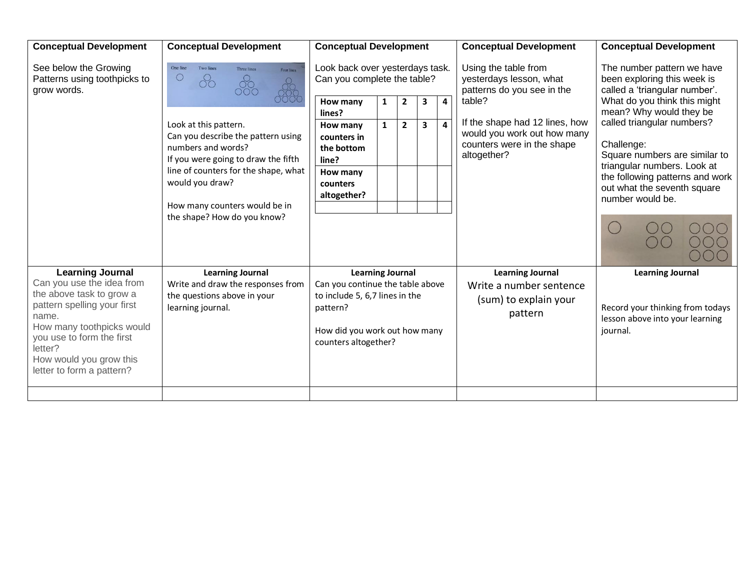| <b>Conceptual Development</b>                                                                                                                                                                                                                         | <b>Conceptual Development</b>                                                                                                                                                                                                                                                                                         | <b>Conceptual Development</b>                                                                                                                                                 |        |                                |        |                              | <b>Conceptual Development</b>                                                                                                                                                                         | <b>Conceptual Development</b>                                                                                                                                                                                                                                                                                                                           |
|-------------------------------------------------------------------------------------------------------------------------------------------------------------------------------------------------------------------------------------------------------|-----------------------------------------------------------------------------------------------------------------------------------------------------------------------------------------------------------------------------------------------------------------------------------------------------------------------|-------------------------------------------------------------------------------------------------------------------------------------------------------------------------------|--------|--------------------------------|--------|------------------------------|-------------------------------------------------------------------------------------------------------------------------------------------------------------------------------------------------------|---------------------------------------------------------------------------------------------------------------------------------------------------------------------------------------------------------------------------------------------------------------------------------------------------------------------------------------------------------|
| See below the Growing<br>Patterns using toothpicks to<br>grow words.                                                                                                                                                                                  | One line<br><b>Two lines</b><br>Three lines<br>Four lines<br>O<br>Look at this pattern.<br>Can you describe the pattern using<br>numbers and words?<br>If you were going to draw the fifth<br>line of counters for the shape, what<br>would you draw?<br>How many counters would be in<br>the shape? How do you know? | Look back over yesterdays task.<br>Can you complete the table?<br>How many<br>lines?<br>How many<br>counters in<br>the bottom<br>line?<br>How many<br>counters<br>altogether? | 1<br>1 | $\overline{2}$<br>$\mathbf{2}$ | 3<br>3 | 4<br>$\overline{\mathbf{4}}$ | Using the table from<br>yesterdays lesson, what<br>patterns do you see in the<br>table?<br>If the shape had 12 lines, how<br>would you work out how many<br>counters were in the shape<br>altogether? | The number pattern we have<br>been exploring this week is<br>called a 'triangular number'.<br>What do you think this might<br>mean? Why would they be<br>called triangular numbers?<br>Challenge:<br>Square numbers are similar to<br>triangular numbers. Look at<br>the following patterns and work<br>out what the seventh square<br>number would be. |
| <b>Learning Journal</b><br>Can you use the idea from<br>the above task to grow a<br>pattern spelling your first<br>name.<br>How many toothpicks would<br>you use to form the first<br>letter?<br>How would you grow this<br>letter to form a pattern? | <b>Learning Journal</b><br>Write and draw the responses from<br>the questions above in your<br>learning journal.                                                                                                                                                                                                      | <b>Learning Journal</b><br>Can you continue the table above<br>to include 5, 6,7 lines in the<br>pattern?<br>How did you work out how many<br>counters altogether?            |        |                                |        |                              | <b>Learning Journal</b><br>Write a number sentence<br>(sum) to explain your<br>pattern                                                                                                                | <b>Learning Journal</b><br>Record your thinking from todays<br>lesson above into your learning<br>journal.                                                                                                                                                                                                                                              |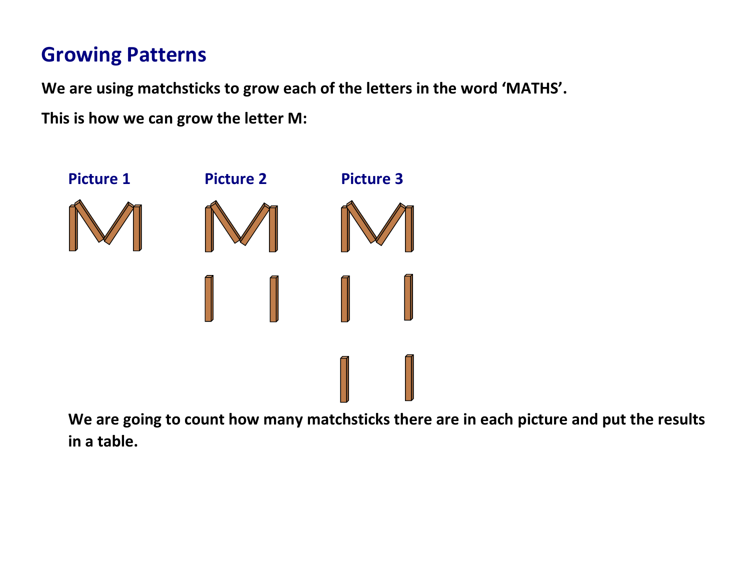## **Growing Patterns**

**We are using matchsticks to grow each of the letters in the word 'MATHS'.**

**This is how we can grow the letter M:**



**We are going to count how many matchsticks there are in each picture and put the results in a table.**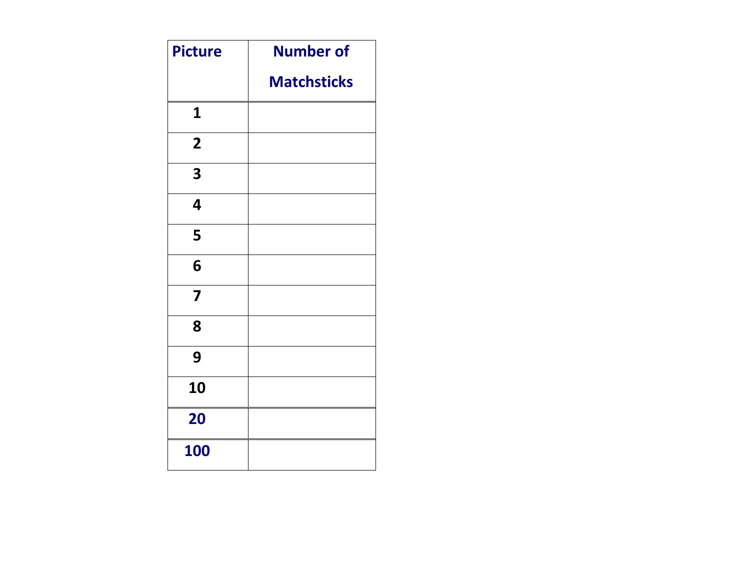| <b>Picture</b>          | <b>Number of</b>   |
|-------------------------|--------------------|
|                         | <b>Matchsticks</b> |
| $\mathbf{1}$            |                    |
| $\overline{2}$          |                    |
| 3                       |                    |
| 4                       |                    |
| 5                       |                    |
| 6                       |                    |
| $\overline{\mathbf{z}}$ |                    |
| 8                       |                    |
| 9                       |                    |
| 10                      |                    |
| 20                      |                    |
| <b>100</b>              |                    |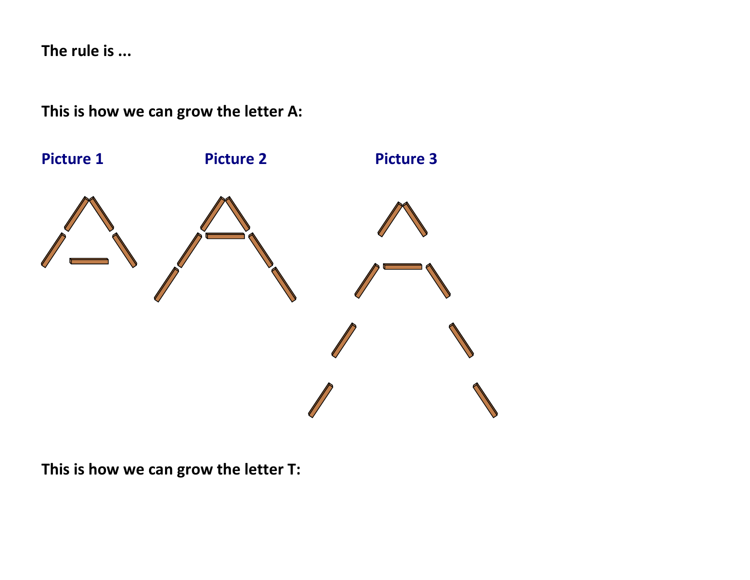**The rule is ...**

**This is how we can grow the letter A:**



**This is how we can grow the letter T:**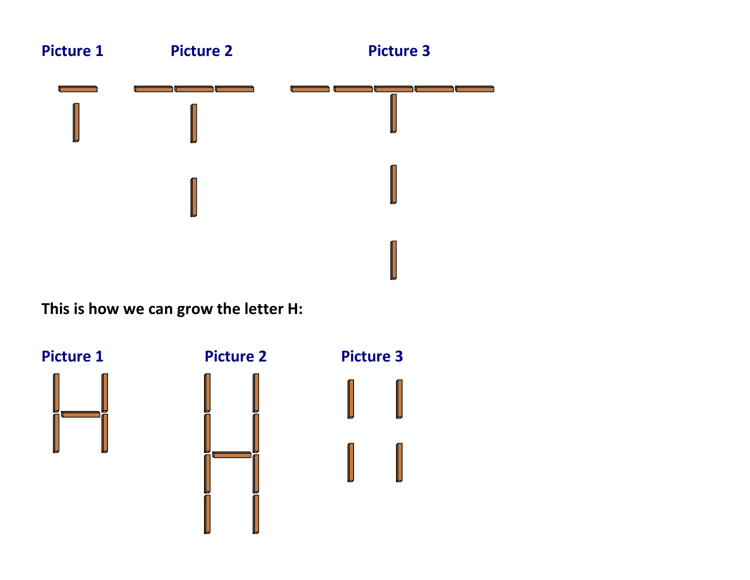

**This is how we can grow the letter H:**

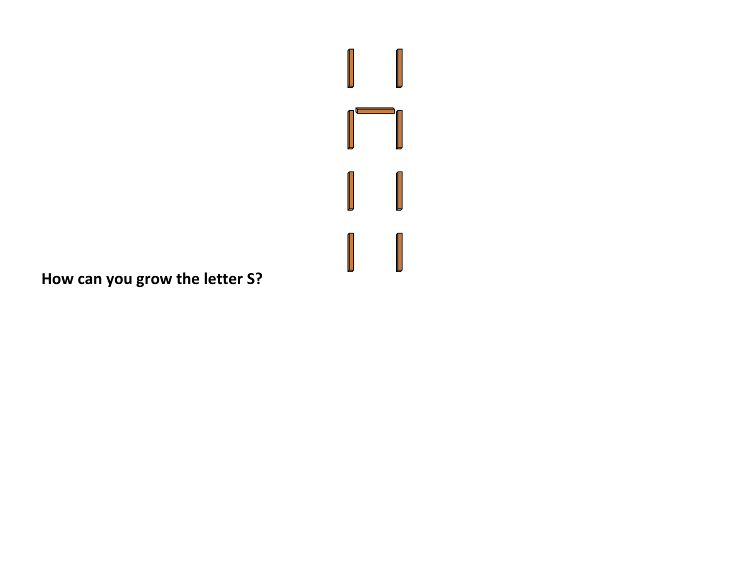

**How can you grow the letter S?**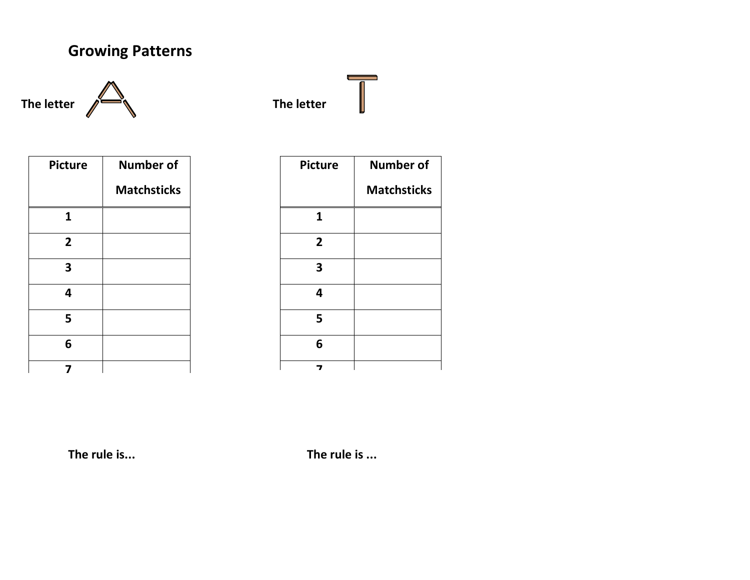## **Growing Patterns**



| <b>Picture</b> | <b>Number of</b>   |
|----------------|--------------------|
|                | <b>Matchsticks</b> |
| 1              |                    |
| $\overline{2}$ |                    |
| 3              |                    |
| 4              |                    |
| 5              |                    |
| 6              |                    |
|                |                    |

| <b>Picture</b> | <b>Number of</b>   |
|----------------|--------------------|
|                | <b>Matchsticks</b> |
| 1              |                    |
| $\overline{2}$ |                    |
| 3              |                    |
| 4              |                    |
| 5              |                    |
| 6              |                    |
|                |                    |

The rule is...

**The rule is... The rule is ...**